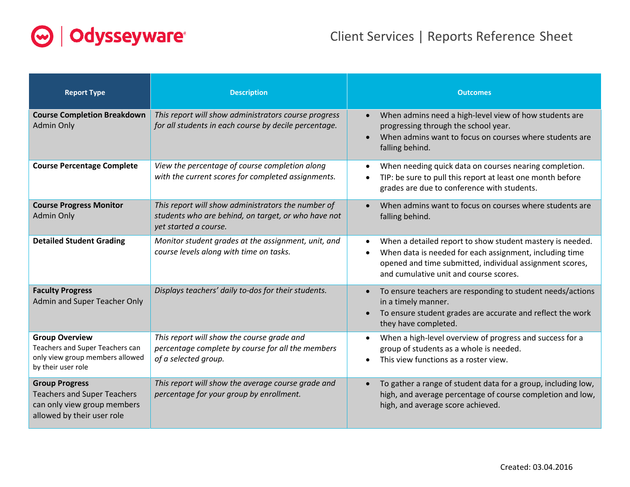

| <b>Report Type</b>                                                                                                       | <b>Description</b>                                                                                                                 | <b>Outcomes</b>                                                                                                                                                                                                                                      |
|--------------------------------------------------------------------------------------------------------------------------|------------------------------------------------------------------------------------------------------------------------------------|------------------------------------------------------------------------------------------------------------------------------------------------------------------------------------------------------------------------------------------------------|
| <b>Course Completion Breakdown</b><br><b>Admin Only</b>                                                                  | This report will show administrators course progress<br>for all students in each course by decile percentage.                      | When admins need a high-level view of how students are<br>$\bullet$<br>progressing through the school year.<br>When admins want to focus on courses where students are<br>$\bullet$<br>falling behind.                                               |
| <b>Course Percentage Complete</b>                                                                                        | View the percentage of course completion along<br>with the current scores for completed assignments.                               | When needing quick data on courses nearing completion.<br>$\bullet$<br>TIP: be sure to pull this report at least one month before<br>grades are due to conference with students.                                                                     |
| <b>Course Progress Monitor</b><br>Admin Only                                                                             | This report will show administrators the number of<br>students who are behind, on target, or who have not<br>yet started a course. | When admins want to focus on courses where students are<br>$\bullet$<br>falling behind.                                                                                                                                                              |
| <b>Detailed Student Grading</b>                                                                                          | Monitor student grades at the assignment, unit, and<br>course levels along with time on tasks.                                     | When a detailed report to show student mastery is needed.<br>$\bullet$<br>When data is needed for each assignment, including time<br>$\bullet$<br>opened and time submitted, individual assignment scores,<br>and cumulative unit and course scores. |
| <b>Faculty Progress</b><br>Admin and Super Teacher Only                                                                  | Displays teachers' daily to-dos for their students.                                                                                | To ensure teachers are responding to student needs/actions<br>in a timely manner.<br>To ensure student grades are accurate and reflect the work<br>$\bullet$<br>they have completed.                                                                 |
| <b>Group Overview</b><br>Teachers and Super Teachers can<br>only view group members allowed<br>by their user role        | This report will show the course grade and<br>percentage complete by course for all the members<br>of a selected group.            | When a high-level overview of progress and success for a<br>group of students as a whole is needed.<br>This view functions as a roster view.<br>$\bullet$                                                                                            |
| <b>Group Progress</b><br><b>Teachers and Super Teachers</b><br>can only view group members<br>allowed by their user role | This report will show the average course grade and<br>percentage for your group by enrollment.                                     | To gather a range of student data for a group, including low,<br>$\bullet$<br>high, and average percentage of course completion and low,<br>high, and average score achieved.                                                                        |